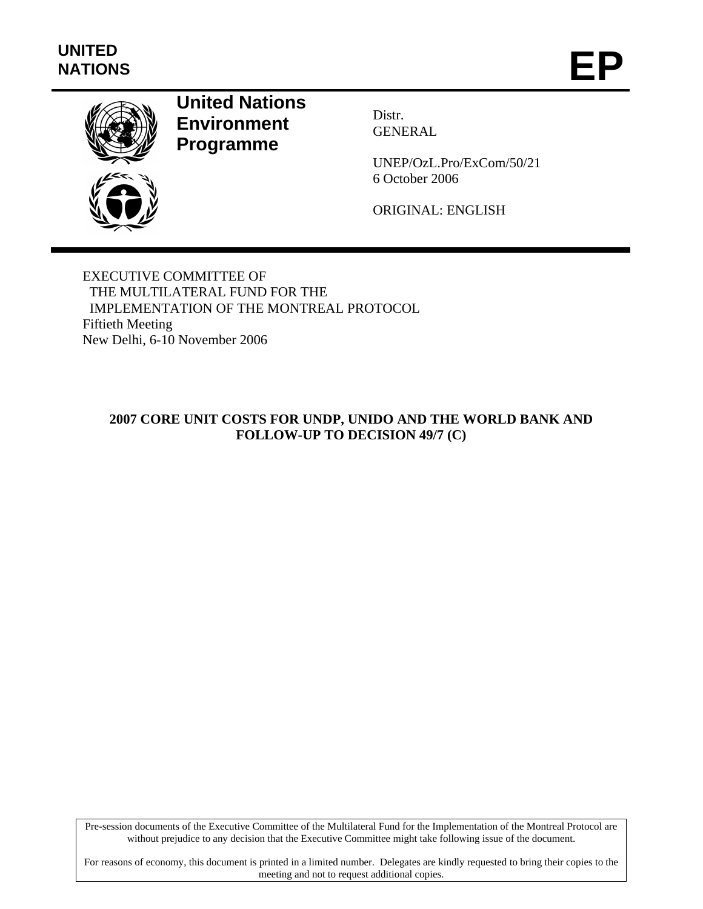

# **United Nations Environment Programme**

Distr. GENERAL

UNEP/OzL.Pro/ExCom/50/21 6 October 2006

ORIGINAL: ENGLISH

EXECUTIVE COMMITTEE OF THE MULTILATERAL FUND FOR THE IMPLEMENTATION OF THE MONTREAL PROTOCOL Fiftieth Meeting New Delhi, 6-10 November 2006

## **2007 CORE UNIT COSTS FOR UNDP, UNIDO AND THE WORLD BANK AND FOLLOW-UP TO DECISION 49/7 (C)**

Pre-session documents of the Executive Committee of the Multilateral Fund for the Implementation of the Montreal Protocol are without prejudice to any decision that the Executive Committee might take following issue of the document.

For reasons of economy, this document is printed in a limited number. Delegates are kindly requested to bring their copies to the meeting and not to request additional copies.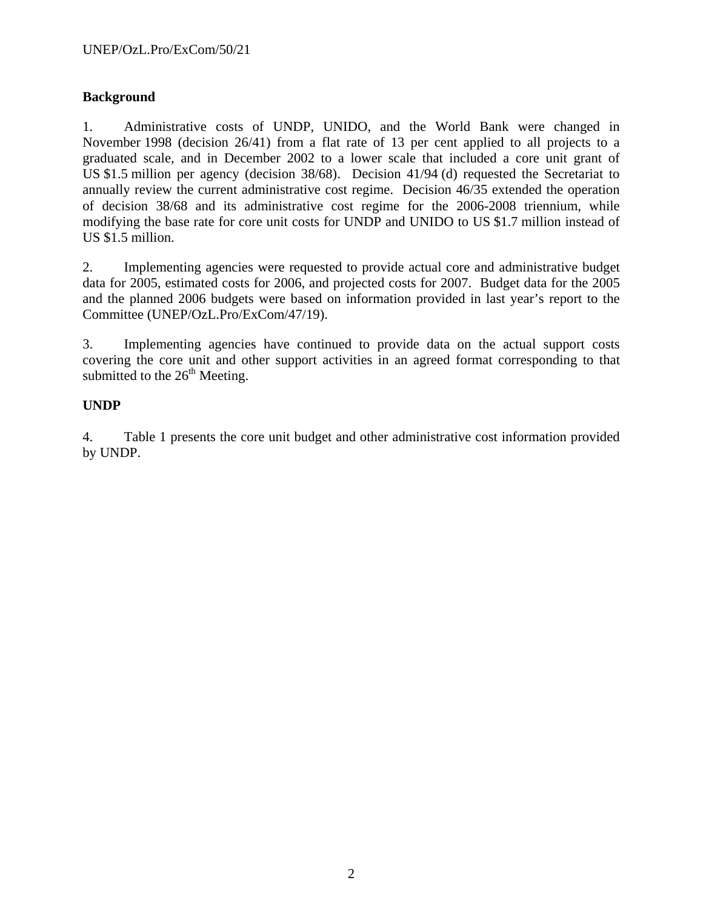## **Background**

1. Administrative costs of UNDP, UNIDO, and the World Bank were changed in November 1998 (decision 26/41) from a flat rate of 13 per cent applied to all projects to a graduated scale, and in December 2002 to a lower scale that included a core unit grant of US \$1.5 million per agency (decision 38/68). Decision 41/94 (d) requested the Secretariat to annually review the current administrative cost regime. Decision 46/35 extended the operation of decision 38/68 and its administrative cost regime for the 2006-2008 triennium, while modifying the base rate for core unit costs for UNDP and UNIDO to US \$1.7 million instead of US \$1.5 million.

2. Implementing agencies were requested to provide actual core and administrative budget data for 2005, estimated costs for 2006, and projected costs for 2007. Budget data for the 2005 and the planned 2006 budgets were based on information provided in last year's report to the Committee (UNEP/OzL.Pro/ExCom/47/19).

3. Implementing agencies have continued to provide data on the actual support costs covering the core unit and other support activities in an agreed format corresponding to that submitted to the  $26<sup>th</sup>$  Meeting.

## **UNDP**

4. Table 1 presents the core unit budget and other administrative cost information provided by UNDP.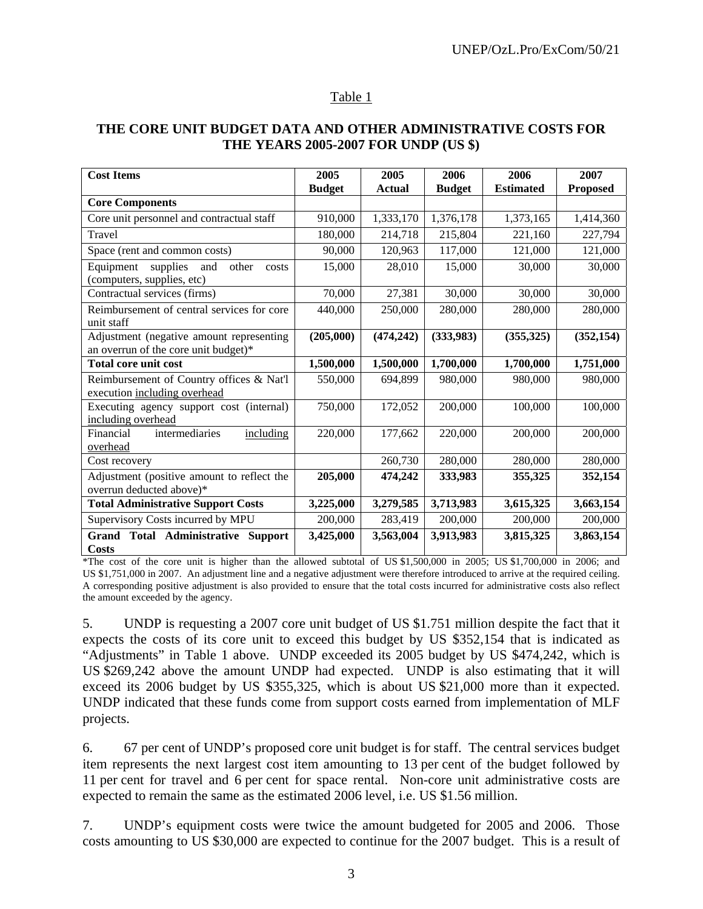#### Table 1

### **THE CORE UNIT BUDGET DATA AND OTHER ADMINISTRATIVE COSTS FOR THE YEARS 2005-2007 FOR UNDP (US \$)**

| <b>Cost Items</b>                                                                | 2005          | 2005          | 2006          | 2006             | 2007            |
|----------------------------------------------------------------------------------|---------------|---------------|---------------|------------------|-----------------|
|                                                                                  | <b>Budget</b> | <b>Actual</b> | <b>Budget</b> | <b>Estimated</b> | <b>Proposed</b> |
| <b>Core Components</b>                                                           |               |               |               |                  |                 |
| Core unit personnel and contractual staff                                        | 910,000       | 1,333,170     | 1,376,178     | 1,373,165        | 1,414,360       |
| Travel                                                                           | 180,000       | 214,718       | 215,804       | 221,160          | 227,794         |
| Space (rent and common costs)                                                    | 90,000        | 120,963       | 117,000       | 121,000          | 121,000         |
| Equipment<br>supplies<br>and<br>other<br>costs<br>(computers, supplies, etc)     | 15,000        | 28,010        | 15,000        | 30,000           | 30,000          |
| Contractual services (firms)                                                     | 70,000        | 27,381        | 30,000        | 30,000           | 30,000          |
| Reimbursement of central services for core<br>unit staff                         | 440,000       | 250,000       | 280,000       | 280,000          | 280,000         |
| Adjustment (negative amount representing<br>an overrun of the core unit budget)* | (205,000)     | (474, 242)    | (333,983)     | (355, 325)       | (352, 154)      |
| <b>Total core unit cost</b>                                                      | 1,500,000     | 1,500,000     | 1,700,000     | 1,700,000        | 1,751,000       |
| Reimbursement of Country offices & Nat'l<br>execution including overhead         | 550,000       | 694,899       | 980,000       | 980,000          | 980,000         |
| Executing agency support cost (internal)<br>including overhead                   | 750,000       | 172,052       | 200,000       | 100,000          | 100,000         |
| intermediaries<br>Financial<br>including<br>overhead                             | 220,000       | 177,662       | 220,000       | 200,000          | 200,000         |
| Cost recovery                                                                    |               | 260,730       | 280,000       | 280,000          | 280,000         |
| Adjustment (positive amount to reflect the<br>overrun deducted above)*           | 205,000       | 474,242       | 333,983       | 355,325          | 352,154         |
| <b>Total Administrative Support Costs</b>                                        | 3,225,000     | 3,279,585     | 3,713,983     | 3,615,325        | 3,663,154       |
| Supervisory Costs incurred by MPU                                                | 200,000       | 283,419       | 200,000       | 200,000          | 200,000         |
| Grand Total Administrative Support<br><b>Costs</b>                               | 3,425,000     | 3,563,004     | 3,913,983     | 3,815,325        | 3,863,154       |

\*The cost of the core unit is higher than the allowed subtotal of US \$1,500,000 in 2005; US \$1,700,000 in 2006; and US \$1,751,000 in 2007. An adjustment line and a negative adjustment were therefore introduced to arrive at the required ceiling. A corresponding positive adjustment is also provided to ensure that the total costs incurred for administrative costs also reflect the amount exceeded by the agency.

5. UNDP is requesting a 2007 core unit budget of US \$1.751 million despite the fact that it expects the costs of its core unit to exceed this budget by US \$352,154 that is indicated as "Adjustments" in Table 1 above. UNDP exceeded its 2005 budget by US \$474,242, which is US \$269,242 above the amount UNDP had expected. UNDP is also estimating that it will exceed its 2006 budget by US \$355,325, which is about US \$21,000 more than it expected. UNDP indicated that these funds come from support costs earned from implementation of MLF projects.

6. 67 per cent of UNDP's proposed core unit budget is for staff. The central services budget item represents the next largest cost item amounting to 13 per cent of the budget followed by 11 per cent for travel and 6 per cent for space rental. Non-core unit administrative costs are expected to remain the same as the estimated 2006 level, i.e. US \$1.56 million.

7. UNDP's equipment costs were twice the amount budgeted for 2005 and 2006. Those costs amounting to US \$30,000 are expected to continue for the 2007 budget. This is a result of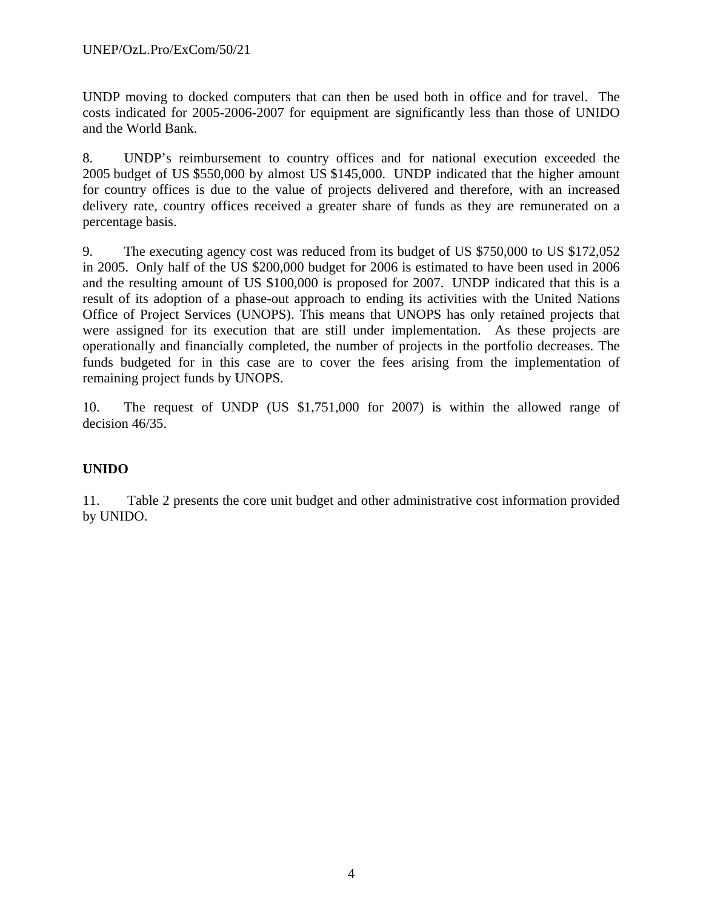UNDP moving to docked computers that can then be used both in office and for travel. The costs indicated for 2005-2006-2007 for equipment are significantly less than those of UNIDO and the World Bank.

8. UNDP's reimbursement to country offices and for national execution exceeded the 2005 budget of US \$550,000 by almost US \$145,000. UNDP indicated that the higher amount for country offices is due to the value of projects delivered and therefore, with an increased delivery rate, country offices received a greater share of funds as they are remunerated on a percentage basis.

9. The executing agency cost was reduced from its budget of US \$750,000 to US \$172,052 in 2005. Only half of the US \$200,000 budget for 2006 is estimated to have been used in 2006 and the resulting amount of US \$100,000 is proposed for 2007. UNDP indicated that this is a result of its adoption of a phase-out approach to ending its activities with the United Nations Office of Project Services (UNOPS). This means that UNOPS has only retained projects that were assigned for its execution that are still under implementation. As these projects are operationally and financially completed, the number of projects in the portfolio decreases. The funds budgeted for in this case are to cover the fees arising from the implementation of remaining project funds by UNOPS.

10. The request of UNDP (US \$1,751,000 for 2007) is within the allowed range of decision 46/35.

# **UNIDO**

11. Table 2 presents the core unit budget and other administrative cost information provided by UNIDO.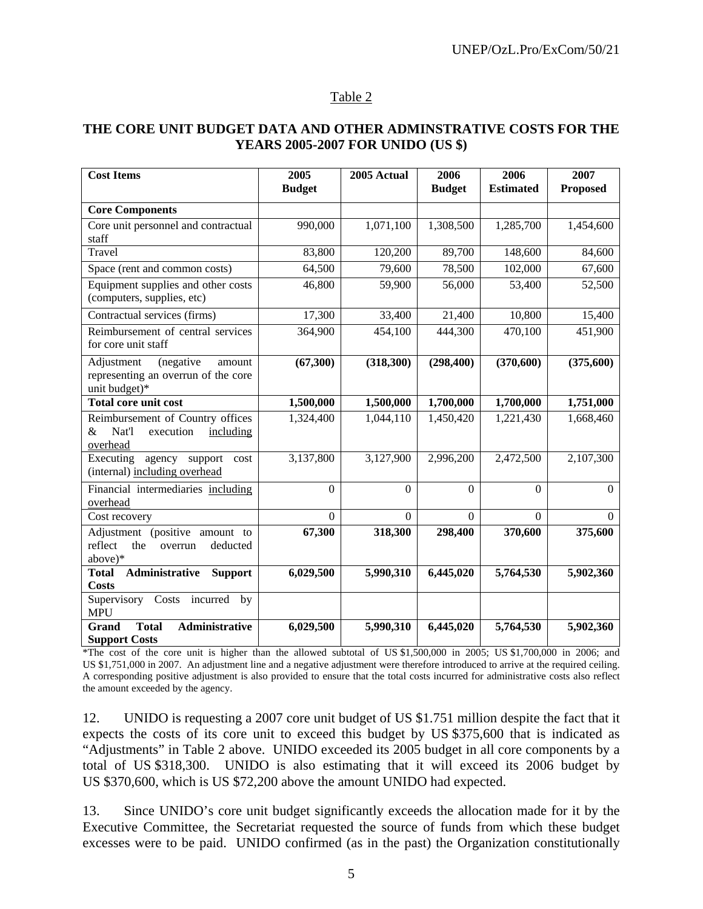#### Table 2

#### **THE CORE UNIT BUDGET DATA AND OTHER ADMINSTRATIVE COSTS FOR THE YEARS 2005-2007 FOR UNIDO (US \$)**

| <b>Cost Items</b>                                                                         | 2005<br><b>Budget</b> | 2005 Actual | 2006<br><b>Budget</b> | 2006<br><b>Estimated</b> | 2007<br><b>Proposed</b> |
|-------------------------------------------------------------------------------------------|-----------------------|-------------|-----------------------|--------------------------|-------------------------|
| <b>Core Components</b>                                                                    |                       |             |                       |                          |                         |
| Core unit personnel and contractual<br>staff                                              | 990,000               | 1,071,100   | 1,308,500             | 1,285,700                | 1,454,600               |
| Travel                                                                                    | 83,800                | 120,200     | 89,700                | 148,600                  | 84,600                  |
| Space (rent and common costs)                                                             | 64,500                | 79,600      | 78,500                | 102,000                  | 67,600                  |
| Equipment supplies and other costs<br>(computers, supplies, etc)                          | 46,800                | 59,900      | 56,000                | 53,400                   | 52,500                  |
| Contractual services (firms)                                                              | 17,300                | 33,400      | 21,400                | 10,800                   | 15,400                  |
| Reimbursement of central services<br>for core unit staff                                  | 364,900               | 454,100     | 444,300               | 470,100                  | 451,900                 |
| (negative<br>Adjustment<br>amount<br>representing an overrun of the core<br>unit budget)* | (67,300)              | (318,300)   | (298, 400)            | (370, 600)               | (375,600)               |
| Total core unit cost                                                                      | 1,500,000             | 1,500,000   | 1,700,000             | 1,700,000                | 1,751,000               |
| Reimbursement of Country offices<br>Nat'l<br>&<br>execution<br>including<br>overhead      | 1,324,400             | 1,044,110   | 1,450,420             | 1,221,430                | 1,668,460               |
| Executing<br>agency support<br>cost<br>(internal) including overhead                      | 3,137,800             | 3,127,900   | 2,996,200             | 2,472,500                | 2,107,300               |
| Financial intermediaries including<br>overhead                                            | $\Omega$              | $\Omega$    | $\Omega$              | $\Omega$                 | $\Omega$                |
| Cost recovery                                                                             | $\overline{0}$        | $\Omega$    | $\Omega$              | $\Omega$                 | $\Omega$                |
| Adjustment (positive amount to<br>reflect<br>the<br>deducted<br>overrun<br>above)*        | 67,300                | 318,300     | 298,400               | 370,600                  | 375,600                 |
| Administrative<br><b>Support</b><br><b>Total</b>                                          | 6,029,500             | 5,990,310   | 6,445,020             | 5,764,530                | 5,902,360               |
| <b>Costs</b><br>Supervisory<br>Costs incurred<br>by<br><b>MPU</b>                         |                       |             |                       |                          |                         |
| <b>Administrative</b><br><b>Total</b><br>Grand<br><b>Support Costs</b>                    | 6,029,500             | 5,990,310   | 6,445,020             | 5,764,530                | 5,902,360               |

\*The cost of the core unit is higher than the allowed subtotal of US \$1,500,000 in 2005; US \$1,700,000 in 2006; and US \$1,751,000 in 2007. An adjustment line and a negative adjustment were therefore introduced to arrive at the required ceiling. A corresponding positive adjustment is also provided to ensure that the total costs incurred for administrative costs also reflect the amount exceeded by the agency.

12. UNIDO is requesting a 2007 core unit budget of US \$1.751 million despite the fact that it expects the costs of its core unit to exceed this budget by US \$375,600 that is indicated as "Adjustments" in Table 2 above. UNIDO exceeded its 2005 budget in all core components by a total of US \$318,300. UNIDO is also estimating that it will exceed its 2006 budget by US \$370,600, which is US \$72,200 above the amount UNIDO had expected.

13. Since UNIDO's core unit budget significantly exceeds the allocation made for it by the Executive Committee, the Secretariat requested the source of funds from which these budget excesses were to be paid. UNIDO confirmed (as in the past) the Organization constitutionally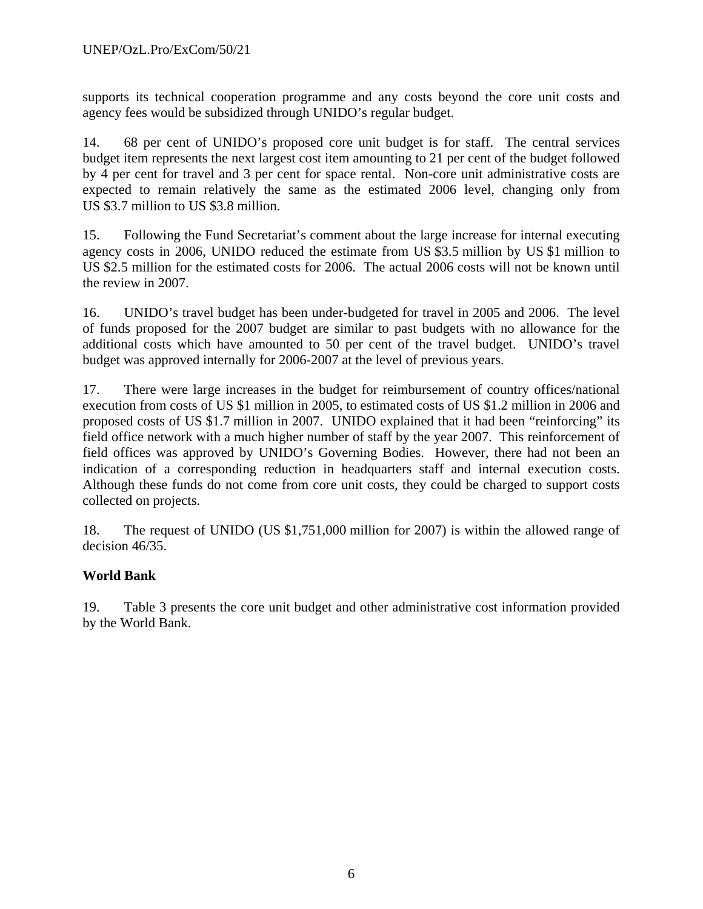supports its technical cooperation programme and any costs beyond the core unit costs and agency fees would be subsidized through UNIDO's regular budget.

14. 68 per cent of UNIDO's proposed core unit budget is for staff. The central services budget item represents the next largest cost item amounting to 21 per cent of the budget followed by 4 per cent for travel and 3 per cent for space rental. Non-core unit administrative costs are expected to remain relatively the same as the estimated 2006 level, changing only from US \$3.7 million to US \$3.8 million.

15. Following the Fund Secretariat's comment about the large increase for internal executing agency costs in 2006, UNIDO reduced the estimate from US \$3.5 million by US \$1 million to US \$2.5 million for the estimated costs for 2006. The actual 2006 costs will not be known until the review in 2007.

16. UNIDO's travel budget has been under-budgeted for travel in 2005 and 2006. The level of funds proposed for the 2007 budget are similar to past budgets with no allowance for the additional costs which have amounted to 50 per cent of the travel budget. UNIDO's travel budget was approved internally for 2006-2007 at the level of previous years.

17. There were large increases in the budget for reimbursement of country offices/national execution from costs of US \$1 million in 2005, to estimated costs of US \$1.2 million in 2006 and proposed costs of US \$1.7 million in 2007. UNIDO explained that it had been "reinforcing" its field office network with a much higher number of staff by the year 2007. This reinforcement of field offices was approved by UNIDO's Governing Bodies. However, there had not been an indication of a corresponding reduction in headquarters staff and internal execution costs. Although these funds do not come from core unit costs, they could be charged to support costs collected on projects.

18. The request of UNIDO (US \$1,751,000 million for 2007) is within the allowed range of decision 46/35.

# **World Bank**

19. Table 3 presents the core unit budget and other administrative cost information provided by the World Bank.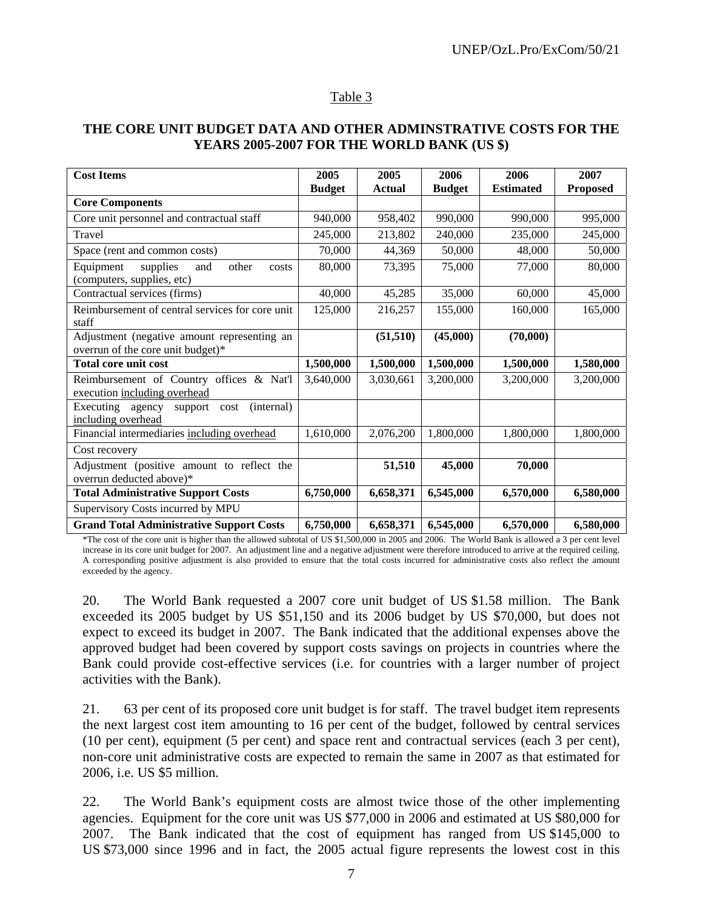#### Table 3

#### **THE CORE UNIT BUDGET DATA AND OTHER ADMINSTRATIVE COSTS FOR THE YEARS 2005-2007 FOR THE WORLD BANK (US \$)**

| <b>Cost Items</b>                                                                | 2005          | 2005      | 2006          | 2006             | 2007            |
|----------------------------------------------------------------------------------|---------------|-----------|---------------|------------------|-----------------|
|                                                                                  | <b>Budget</b> | Actual    | <b>Budget</b> | <b>Estimated</b> | <b>Proposed</b> |
| <b>Core Components</b>                                                           |               |           |               |                  |                 |
| Core unit personnel and contractual staff                                        | 940,000       | 958,402   | 990,000       | 990,000          | 995,000         |
| Travel                                                                           | 245,000       | 213,802   | 240,000       | 235,000          | 245,000         |
| Space (rent and common costs)                                                    | 70,000        | 44,369    | 50,000        | 48,000           | 50,000          |
| Equipment<br>supplies<br>other<br>and<br>costs<br>(computers, supplies, etc)     | 80,000        | 73,395    | 75,000        | 77,000           | 80,000          |
| Contractual services (firms)                                                     | 40,000        | 45,285    | 35,000        | 60,000           | 45,000          |
| Reimbursement of central services for core unit<br>staff                         | 125,000       | 216,257   | 155,000       | 160,000          | 165,000         |
| Adjustment (negative amount representing an<br>overrun of the core unit budget)* |               | (51, 510) | (45,000)      | (70,000)         |                 |
| <b>Total core unit cost</b>                                                      | 1,500,000     | 1,500,000 | 1,500,000     | 1,500,000        | 1,580,000       |
| Reimbursement of Country offices & Nat'l<br>execution including overhead         | 3,640,000     | 3,030,661 | 3,200,000     | 3,200,000        | 3,200,000       |
| (internal)<br>Executing agency<br>support cost<br>including overhead             |               |           |               |                  |                 |
| Financial intermediaries including overhead                                      | 1,610,000     | 2,076,200 | 1,800,000     | 1,800,000        | 1,800,000       |
| Cost recovery                                                                    |               |           |               |                  |                 |
| Adjustment (positive amount to reflect the<br>overrun deducted above)*           |               | 51,510    | 45,000        | 70,000           |                 |
| <b>Total Administrative Support Costs</b>                                        | 6,750,000     | 6,658,371 | 6,545,000     | 6,570,000        | 6,580,000       |
| Supervisory Costs incurred by MPU                                                |               |           |               |                  |                 |
| <b>Grand Total Administrative Support Costs</b>                                  | 6,750,000     | 6,658,371 | 6,545,000     | 6,570,000        | 6,580,000       |

\*The cost of the core unit is higher than the allowed subtotal of US \$1,500,000 in 2005 and 2006. The World Bank is allowed a 3 per cent level increase in its core unit budget for 2007. An adjustment line and a negative adjustment were therefore introduced to arrive at the required ceiling. A corresponding positive adjustment is also provided to ensure that the total costs incurred for administrative costs also reflect the amount exceeded by the agency.

20. The World Bank requested a 2007 core unit budget of US \$1.58 million. The Bank exceeded its 2005 budget by US \$51,150 and its 2006 budget by US \$70,000, but does not expect to exceed its budget in 2007. The Bank indicated that the additional expenses above the approved budget had been covered by support costs savings on projects in countries where the Bank could provide cost-effective services (i.e. for countries with a larger number of project activities with the Bank).

21. 63 per cent of its proposed core unit budget is for staff. The travel budget item represents the next largest cost item amounting to 16 per cent of the budget, followed by central services (10 per cent), equipment (5 per cent) and space rent and contractual services (each 3 per cent), non-core unit administrative costs are expected to remain the same in 2007 as that estimated for 2006, i.e. US \$5 million.

22. The World Bank's equipment costs are almost twice those of the other implementing agencies. Equipment for the core unit was US \$77,000 in 2006 and estimated at US \$80,000 for 2007. The Bank indicated that the cost of equipment has ranged from US \$145,000 to US \$73,000 since 1996 and in fact, the 2005 actual figure represents the lowest cost in this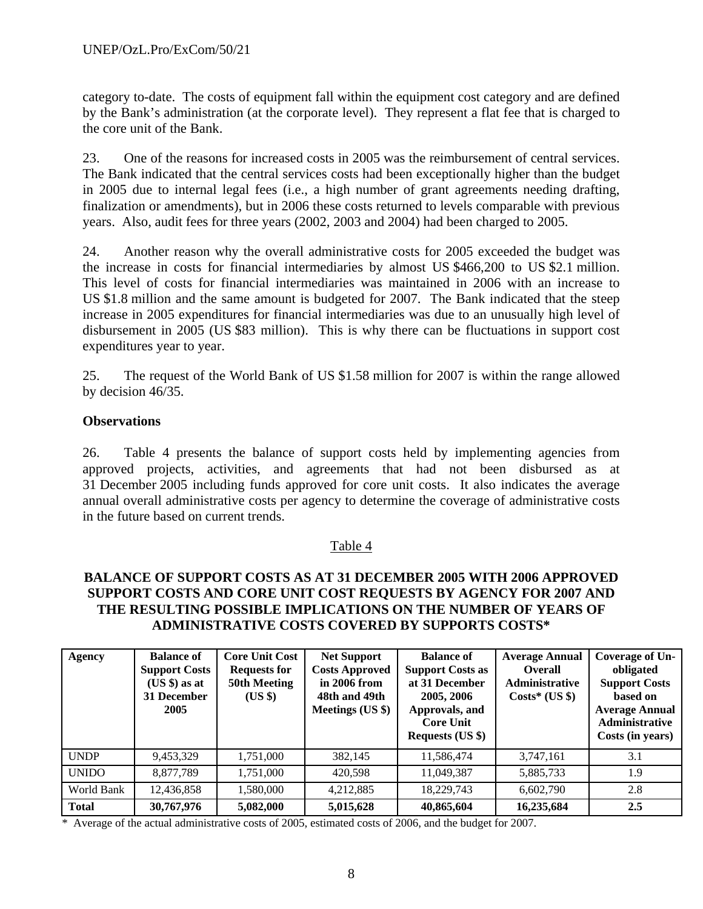category to-date. The costs of equipment fall within the equipment cost category and are defined by the Bank's administration (at the corporate level). They represent a flat fee that is charged to the core unit of the Bank.

23. One of the reasons for increased costs in 2005 was the reimbursement of central services. The Bank indicated that the central services costs had been exceptionally higher than the budget in 2005 due to internal legal fees (i.e., a high number of grant agreements needing drafting, finalization or amendments), but in 2006 these costs returned to levels comparable with previous years. Also, audit fees for three years (2002, 2003 and 2004) had been charged to 2005.

24. Another reason why the overall administrative costs for 2005 exceeded the budget was the increase in costs for financial intermediaries by almost US \$466,200 to US \$2.1 million. This level of costs for financial intermediaries was maintained in 2006 with an increase to US \$1.8 million and the same amount is budgeted for 2007. The Bank indicated that the steep increase in 2005 expenditures for financial intermediaries was due to an unusually high level of disbursement in 2005 (US \$83 million). This is why there can be fluctuations in support cost expenditures year to year.

25. The request of the World Bank of US \$1.58 million for 2007 is within the range allowed by decision 46/35.

### **Observations**

26. Table 4 presents the balance of support costs held by implementing agencies from approved projects, activities, and agreements that had not been disbursed as at 31 December 2005 including funds approved for core unit costs. It also indicates the average annual overall administrative costs per agency to determine the coverage of administrative costs in the future based on current trends.

## Table 4

### **BALANCE OF SUPPORT COSTS AS AT 31 DECEMBER 2005 WITH 2006 APPROVED SUPPORT COSTS AND CORE UNIT COST REQUESTS BY AGENCY FOR 2007 AND THE RESULTING POSSIBLE IMPLICATIONS ON THE NUMBER OF YEARS OF ADMINISTRATIVE COSTS COVERED BY SUPPORTS COSTS\***

| Agency       | <b>Balance of</b><br><b>Support Costs</b><br>$(US $)$ as at<br>31 December<br>2005 | <b>Core Unit Cost</b><br><b>Requests for</b><br>50th Meeting<br>$(US \$ | <b>Net Support</b><br><b>Costs Approved</b><br>in 2006 from<br>48th and 49th<br>Meetings (US \$) | <b>Balance of</b><br><b>Support Costs as</b><br>at 31 December<br>2005, 2006<br>Approvals, and<br><b>Core Unit</b><br><b>Requests (US \$)</b> | <b>Average Annual</b><br><b>Overall</b><br>Administrative<br>$Costs^*(US \$ | Coverage of Un-<br>obligated<br><b>Support Costs</b><br>based on<br><b>Average Annual</b><br>Administrative<br>Costs (in years) |
|--------------|------------------------------------------------------------------------------------|-------------------------------------------------------------------------|--------------------------------------------------------------------------------------------------|-----------------------------------------------------------------------------------------------------------------------------------------------|-----------------------------------------------------------------------------|---------------------------------------------------------------------------------------------------------------------------------|
| <b>UNDP</b>  | 9,453,329                                                                          | 1,751,000                                                               | 382,145                                                                                          | 11,586,474                                                                                                                                    | 3,747,161                                                                   | 3.1                                                                                                                             |
| <b>UNIDO</b> | 8,877,789                                                                          | 1,751,000                                                               | 420,598                                                                                          | 11,049,387                                                                                                                                    | 5,885,733                                                                   | 1.9                                                                                                                             |
| World Bank   | 12,436,858                                                                         | 1,580,000                                                               | 4,212,885                                                                                        | 18,229,743                                                                                                                                    | 6,602,790                                                                   | 2.8                                                                                                                             |
| <b>Total</b> | 30,767,976                                                                         | 5,082,000                                                               | 5,015,628                                                                                        | 40,865,604                                                                                                                                    | 16,235,684                                                                  | 2.5                                                                                                                             |

\* Average of the actual administrative costs of 2005, estimated costs of 2006, and the budget for 2007.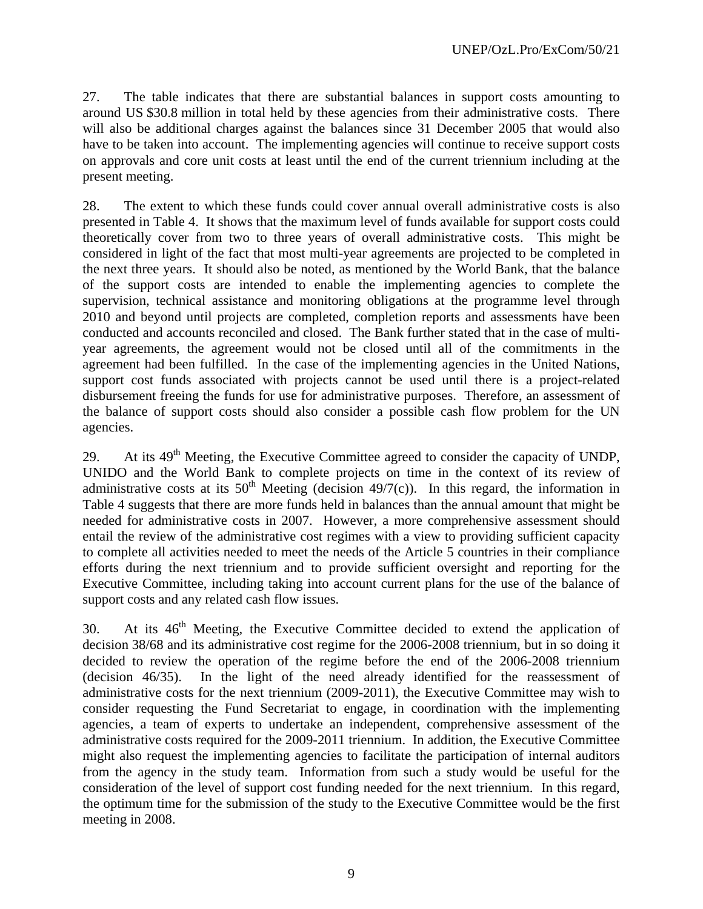27. The table indicates that there are substantial balances in support costs amounting to around US \$30.8 million in total held by these agencies from their administrative costs. There will also be additional charges against the balances since 31 December 2005 that would also have to be taken into account. The implementing agencies will continue to receive support costs on approvals and core unit costs at least until the end of the current triennium including at the present meeting.

28. The extent to which these funds could cover annual overall administrative costs is also presented in Table 4. It shows that the maximum level of funds available for support costs could theoretically cover from two to three years of overall administrative costs. This might be considered in light of the fact that most multi-year agreements are projected to be completed in the next three years. It should also be noted, as mentioned by the World Bank, that the balance of the support costs are intended to enable the implementing agencies to complete the supervision, technical assistance and monitoring obligations at the programme level through 2010 and beyond until projects are completed, completion reports and assessments have been conducted and accounts reconciled and closed. The Bank further stated that in the case of multiyear agreements, the agreement would not be closed until all of the commitments in the agreement had been fulfilled. In the case of the implementing agencies in the United Nations, support cost funds associated with projects cannot be used until there is a project-related disbursement freeing the funds for use for administrative purposes. Therefore, an assessment of the balance of support costs should also consider a possible cash flow problem for the UN agencies.

29. At its  $49<sup>th</sup>$  Meeting, the Executive Committee agreed to consider the capacity of UNDP, UNIDO and the World Bank to complete projects on time in the context of its review of administrative costs at its  $50<sup>th</sup>$  Meeting (decision 49/7(c)). In this regard, the information in Table 4 suggests that there are more funds held in balances than the annual amount that might be needed for administrative costs in 2007. However, a more comprehensive assessment should entail the review of the administrative cost regimes with a view to providing sufficient capacity to complete all activities needed to meet the needs of the Article 5 countries in their compliance efforts during the next triennium and to provide sufficient oversight and reporting for the Executive Committee, including taking into account current plans for the use of the balance of support costs and any related cash flow issues.

30. At its 46<sup>th</sup> Meeting, the Executive Committee decided to extend the application of decision 38/68 and its administrative cost regime for the 2006-2008 triennium, but in so doing it decided to review the operation of the regime before the end of the 2006-2008 triennium (decision 46/35). In the light of the need already identified for the reassessment of administrative costs for the next triennium (2009-2011), the Executive Committee may wish to consider requesting the Fund Secretariat to engage, in coordination with the implementing agencies, a team of experts to undertake an independent, comprehensive assessment of the administrative costs required for the 2009-2011 triennium. In addition, the Executive Committee might also request the implementing agencies to facilitate the participation of internal auditors from the agency in the study team. Information from such a study would be useful for the consideration of the level of support cost funding needed for the next triennium. In this regard, the optimum time for the submission of the study to the Executive Committee would be the first meeting in 2008.